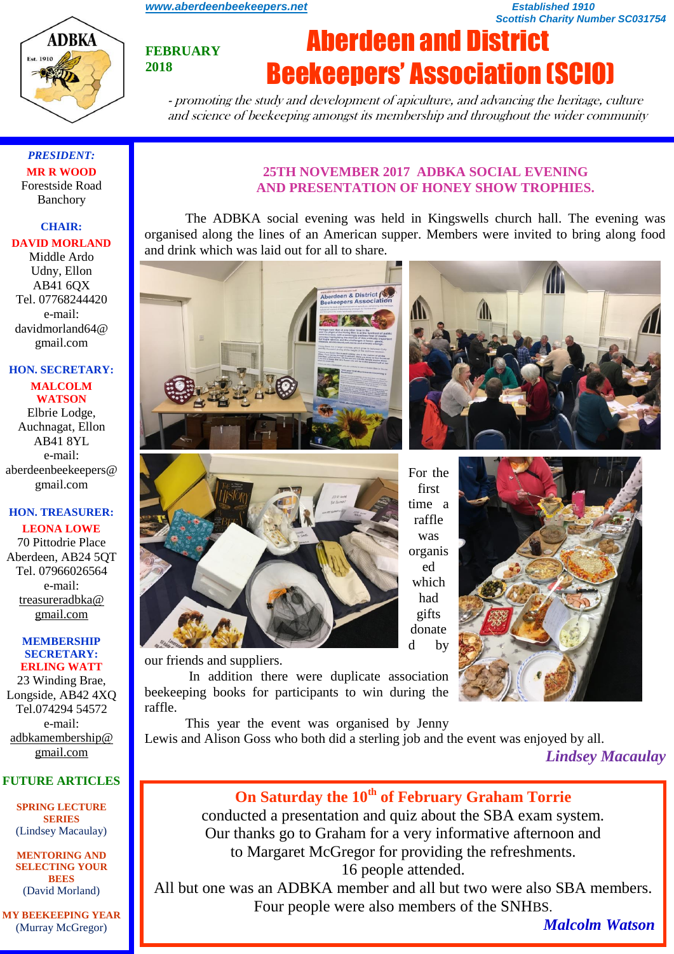*[www.aberdeenbeekeepers.net](http://www.aberdeenbeekeepers.net/) Established 1910* 

*Scottish Charity Number SC031754*

# **FEBRUARY 2018**

# Aberdeen and District Beekeepers' Association (SCIO)

- promoting the study and development of apiculture, and advancing the heritage, culture and science of beekeeping amongst its membership and throughout the wider community

*PRESIDENT:* **MR R WOOD** Forestside Road Banchory

**ADBKA** 

**Est. 1916** 

#### **CHAIR:**

#### **DAVID MORLAND**

Middle Ardo Udny, Ellon AB41 6QX Tel. 07768244420 e-mail: davidmorland64@ gmail.com

#### **HON. SECRETARY: MALCOLM WATSON**

Elbrie Lodge, Auchnagat, Ellon AB41 8YL e-mail: aberdeenbeekeepers@ gmail.com

#### **HON. TREASURER: LEONA LOWE**

70 Pittodrie Place Aberdeen, AB24 5QT Tel. 07966026564 e-mail: [treasureradbka@](https://e.mail.ru/compose/?mailto=mailto%3atreasureradbka@gmail.com)  [gmail.com](https://e.mail.ru/compose/?mailto=mailto%3atreasureradbka@gmail.com)

#### **MEMBERSHIP SECRETARY: ERLING WATT**

23 Winding Brae, Longside, AB42 4XQ Tel.074294 54572 e-mail: [adbkamembership@](mailto:watterlingg@aol.com) [gmail.com](mailto:watterlingg@aol.com)

#### **FUTURE ARTICLES**

**SPRING LECTURE SERIES** (Lindsey Macaulay)

**MENTORING AND SELECTING YOUR BEES**  (David Morland)

**MY BEEKEEPING YEAR**  (Murray McGregor)

#### **25TH NOVEMBER 2017 ADBKA SOCIAL EVENING AND PRESENTATION OF HONEY SHOW TROPHIES.**

The ADBKA social evening was held in Kingswells church hall. The evening was organised along the lines of an American supper. Members were invited to bring along food and drink which was laid out for all to share.

berdeen & District



our friends and suppliers.

In addition there were duplicate association beekeeping books for participants to win during the raffle.

This year the event was organised by Jenny Lewis and Alison Goss who both did a sterling job and the event was enjoyed by all.

*Lindsey Macaulay*

## **On Saturday the 10th of February Graham Torrie**

conducted a presentation and quiz about the SBA exam system. Our thanks go to Graham for a very informative afternoon and to Margaret McGregor for providing the refreshments. 16 people attended.

All but one was an ADBKA member and all but two were also SBA members. Four people were also members of the SNHBS.

*Malcolm Watson*

For the first time a raffle was organis ed which had gifts donate d by

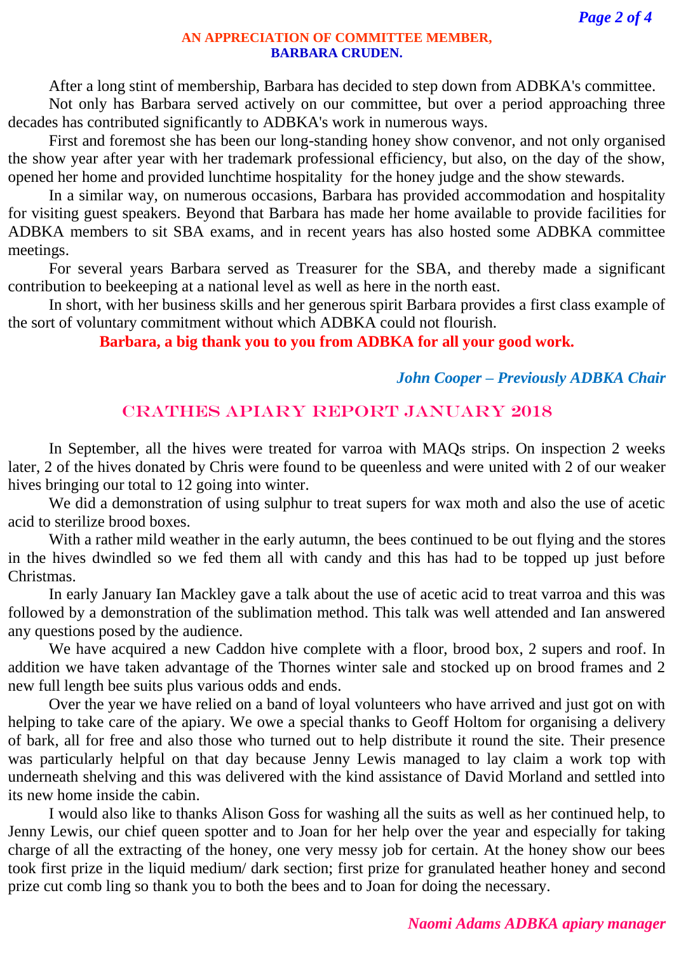#### **AN APPRECIATION OF COMMITTEE MEMBER, BARBARA CRUDEN.**

After a long stint of membership, Barbara has decided to step down from ADBKA's committee.

Not only has Barbara served actively on our committee, but over a period approaching three decades has contributed significantly to ADBKA's work in numerous ways.

First and foremost she has been our long-standing honey show convenor, and not only organised the show year after year with her trademark professional efficiency, but also, on the day of the show, opened her home and provided lunchtime hospitality for the honey judge and the show stewards.

In a similar way, on numerous occasions, Barbara has provided accommodation and hospitality for visiting guest speakers. Beyond that Barbara has made her home available to provide facilities for ADBKA members to sit SBA exams, and in recent years has also hosted some ADBKA committee meetings.

For several years Barbara served as Treasurer for the SBA, and thereby made a significant contribution to beekeeping at a national level as well as here in the north east.

In short, with her business skills and her generous spirit Barbara provides a first class example of the sort of voluntary commitment without which ADBKA could not flourish.

**Barbara, a big thank you to you from ADBKA for all your good work.**

#### *John Cooper – Previously ADBKA Chair*

## CRATHES APIARY REPORT JANUARY 2018

In September, all the hives were treated for varroa with MAQs strips. On inspection 2 weeks later, 2 of the hives donated by Chris were found to be queenless and were united with 2 of our weaker hives bringing our total to 12 going into winter.

We did a demonstration of using sulphur to treat supers for wax moth and also the use of acetic acid to sterilize brood boxes.

With a rather mild weather in the early autumn, the bees continued to be out flying and the stores in the hives dwindled so we fed them all with candy and this has had to be topped up just before Christmas.

In early January Ian Mackley gave a talk about the use of acetic acid to treat varroa and this was followed by a demonstration of the sublimation method. This talk was well attended and Ian answered any questions posed by the audience.

We have acquired a new Caddon hive complete with a floor, brood box, 2 supers and roof. In addition we have taken advantage of the Thornes winter sale and stocked up on brood frames and 2 new full length bee suits plus various odds and ends.

Over the year we have relied on a band of loyal volunteers who have arrived and just got on with helping to take care of the apiary. We owe a special thanks to Geoff Holtom for organising a delivery of bark, all for free and also those who turned out to help distribute it round the site. Their presence was particularly helpful on that day because Jenny Lewis managed to lay claim a work top with underneath shelving and this was delivered with the kind assistance of David Morland and settled into its new home inside the cabin.

I would also like to thanks Alison Goss for washing all the suits as well as her continued help, to Jenny Lewis, our chief queen spotter and to Joan for her help over the year and especially for taking charge of all the extracting of the honey, one very messy job for certain. At the honey show our bees took first prize in the liquid medium/ dark section; first prize for granulated heather honey and second prize cut comb ling so thank you to both the bees and to Joan for doing the necessary.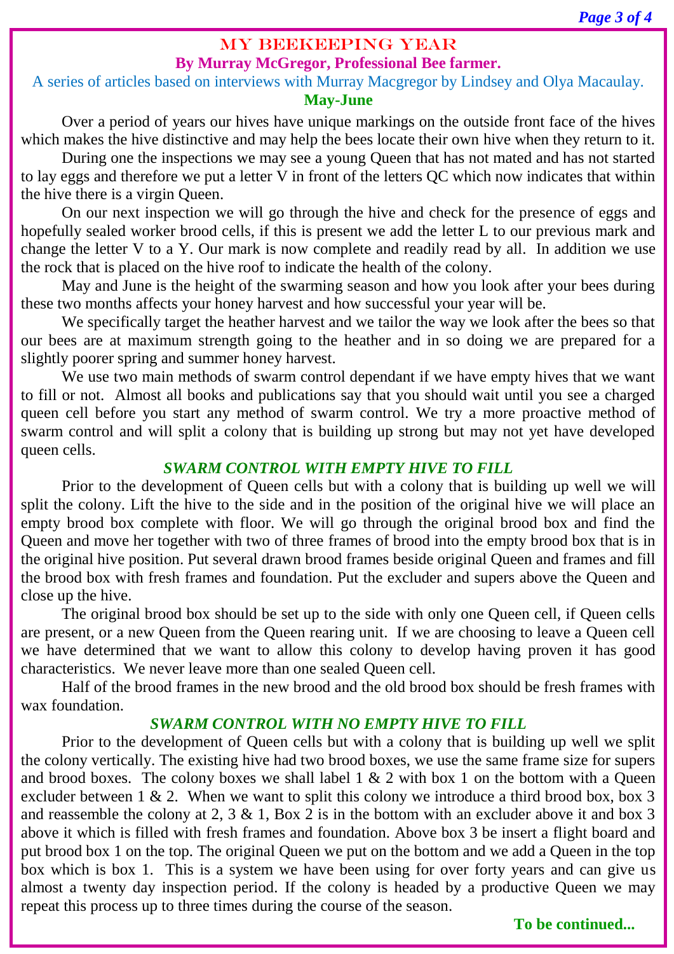## MY BEEKEEPING YEAR

## **By Murray McGregor, Professional Bee farmer.**

### A series of articles based on interviews with Murray Macgregor by Lindsey and Olya Macaulay. **May-June**

Over a period of years our hives have unique markings on the outside front face of the hives which makes the hive distinctive and may help the bees locate their own hive when they return to it.

During one the inspections we may see a young Queen that has not mated and has not started to lay eggs and therefore we put a letter V in front of the letters QC which now indicates that within the hive there is a virgin Queen.

On our next inspection we will go through the hive and check for the presence of eggs and hopefully sealed worker brood cells, if this is present we add the letter L to our previous mark and change the letter V to a Y. Our mark is now complete and readily read by all. In addition we use the rock that is placed on the hive roof to indicate the health of the colony.

May and June is the height of the swarming season and how you look after your bees during these two months affects your honey harvest and how successful your year will be.

We specifically target the heather harvest and we tailor the way we look after the bees so that our bees are at maximum strength going to the heather and in so doing we are prepared for a slightly poorer spring and summer honey harvest.

We use two main methods of swarm control dependant if we have empty hives that we want to fill or not. Almost all books and publications say that you should wait until you see a charged queen cell before you start any method of swarm control. We try a more proactive method of swarm control and will split a colony that is building up strong but may not yet have developed queen cells.

## *SWARM CONTROL WITH EMPTY HIVE TO FILL*

Prior to the development of Queen cells but with a colony that is building up well we will split the colony. Lift the hive to the side and in the position of the original hive we will place an empty brood box complete with floor. We will go through the original brood box and find the Queen and move her together with two of three frames of brood into the empty brood box that is in the original hive position. Put several drawn brood frames beside original Queen and frames and fill the brood box with fresh frames and foundation. Put the excluder and supers above the Queen and close up the hive.

The original brood box should be set up to the side with only one Queen cell, if Queen cells are present, or a new Queen from the Queen rearing unit. If we are choosing to leave a Queen cell we have determined that we want to allow this colony to develop having proven it has good characteristics. We never leave more than one sealed Queen cell.

Half of the brood frames in the new brood and the old brood box should be fresh frames with wax foundation.

## *SWARM CONTROL WITH NO EMPTY HIVE TO FILL*

Prior to the development of Queen cells but with a colony that is building up well we split the colony vertically. The existing hive had two brood boxes, we use the same frame size for supers and brood boxes. The colony boxes we shall label  $1 \& 2$  with box 1 on the bottom with a Queen excluder between  $1 \& 2$ . When we want to split this colony we introduce a third brood box, box 3 and reassemble the colony at 2,  $3 \& 1$ , Box 2 is in the bottom with an excluder above it and box 3 above it which is filled with fresh frames and foundation. Above box 3 be insert a flight board and put brood box 1 on the top. The original Queen we put on the bottom and we add a Queen in the top box which is box 1. This is a system we have been using for over forty years and can give us almost a twenty day inspection period. If the colony is headed by a productive Queen we may repeat this process up to three times during the course of the season.

**To be continued...**